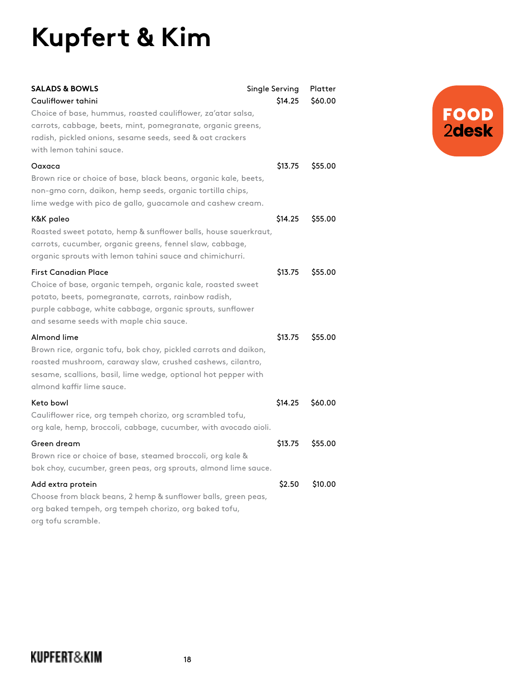## **Kupfert & Kim**

| <b>SALADS &amp; BOWLS</b><br>Cauliflower tahini                                                                                                                                                                                                            | Single Serving<br>\$14.25 | Platter<br>\$60.00 |
|------------------------------------------------------------------------------------------------------------------------------------------------------------------------------------------------------------------------------------------------------------|---------------------------|--------------------|
| Choice of base, hummus, roasted cauliflower, za'atar salsa,<br>carrots, cabbage, beets, mint, pomegranate, organic greens,<br>radish, pickled onions, sesame seeds, seed & oat crackers<br>with lemon tahini sauce.                                        |                           |                    |
| Oaxaca<br>Brown rice or choice of base, black beans, organic kale, beets,<br>non-gmo corn, daikon, hemp seeds, organic tortilla chips,<br>lime wedge with pico de gallo, guacamole and cashew cream.                                                       | \$13.75                   | \$55.00            |
| K&K paleo<br>Roasted sweet potato, hemp & sunflower balls, house sauerkraut,<br>carrots, cucumber, organic greens, fennel slaw, cabbage,<br>organic sprouts with lemon tahini sauce and chimichurri.                                                       | \$14.25                   | \$55.00            |
| <b>First Canadian Place</b><br>Choice of base, organic tempeh, organic kale, roasted sweet<br>potato, beets, pomegranate, carrots, rainbow radish,<br>purple cabbage, white cabbage, organic sprouts, sunflower<br>and sesame seeds with maple chia sauce. | \$13.75                   | \$55.00            |
| Almond lime<br>Brown rice, organic tofu, bok choy, pickled carrots and daikon,<br>roasted mushroom, caraway slaw, crushed cashews, cilantro,<br>sesame, scallions, basil, lime wedge, optional hot pepper with<br>almond kaffir lime sauce.                | \$13.75                   | \$55.00            |
| Keto bowl<br>Cauliflower rice, org tempeh chorizo, org scrambled tofu,<br>org kale, hemp, broccoli, cabbage, cucumber, with avocado aioli.                                                                                                                 | \$14.25                   | \$60.00            |
| Green dream<br>Brown rice or choice of base, steamed broccoli, org kale &<br>bok choy, cucumber, green peas, org sprouts, almond lime sauce.                                                                                                               | \$13.75                   | \$55.00            |
| Add extra protein<br>Choose from black beans, 2 hemp & sunflower balls, green peas,<br>org baked tempeh, org tempeh chorizo, org baked tofu,<br>org tofu scramble.                                                                                         | \$2.50                    | \$10.00            |

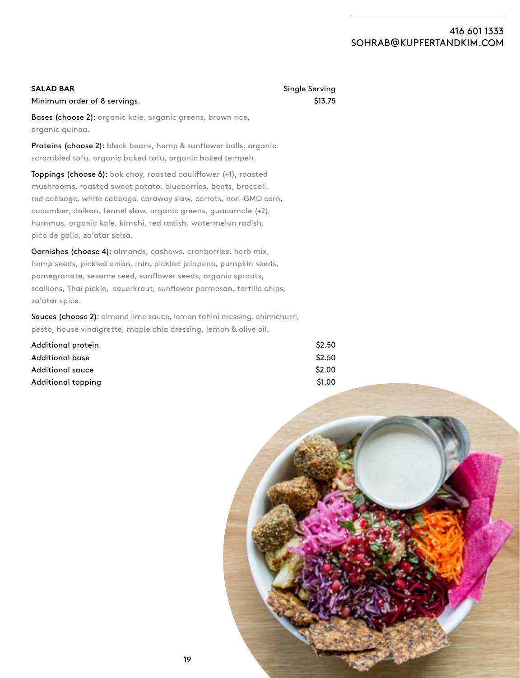## 416 601 1333 [SOHRAB@KUPFERTANDKIM.COM](mailto:sohrab@kupfertandkim.com)

| <b>SALAD BAR</b>                                                   | Single Serving     |
|--------------------------------------------------------------------|--------------------|
| Minimum order of 8 servings.                                       | S <sub>13.75</sub> |
| <b>Bases (choose 2):</b> organic kale, organic greens, brown rice, |                    |

organic quinoa.

Proteins (choose 2): black beans, hemp & sunflower balls, organic scrambled tofu, organic baked tofu, organic baked tempeh.

Toppings (choose 6): bok choy, roasted cauliflower (+1), roasted mushrooms, roasted sweet potato, blueberries, beets, broccoli, red cabbage, white cabbage, caraway slaw, carrots, non-GMO corn, cucumber, daikon, fennel slaw, organic greens, guacamole (+2), hummus, organic kale, kimchi, red radish, watermelon radish, pico de gallo, za'atar salsa.

Garnishes (choose 4): almonds, cashews, cranberries, herb mix, hemp seeds, pickled onion, min, pickled jalapeno, pumpkin seeds, pomegranate, sesame seed, sunflower seeds, organic sprouts, scallions, Thai pickle, sauerkraut, sunflower parmesan, tortilla chips, za'atar spice.

Sauces (choose 2): almond lime sauce, lemon tahini dressing, chimichurri, pesto, house vinaigrette, maple chia dressing, lemon & olive oil.

| Additional protein      | \$2.50 |
|-------------------------|--------|
| Additional base         | \$2.50 |
| <b>Additional sauce</b> | \$2.00 |
| Additional topping      | \$1.00 |

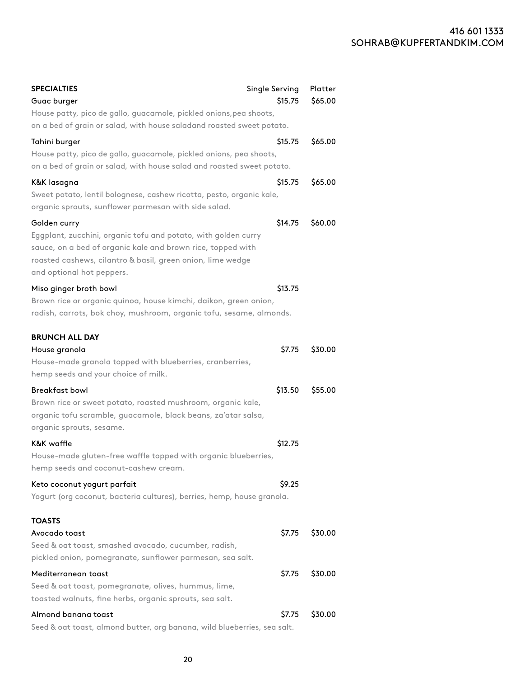## 416 601 1333 S[OHRAB@KUPFERTANDKIM.COM](mailto:sohrab@kupfertandkim.com)

| <b>SPECIALTIES</b>                                                       | Single Serving | Platter |
|--------------------------------------------------------------------------|----------------|---------|
| Guac burger                                                              | \$15.75        | \$65.00 |
| House patty, pico de gallo, guacamole, pickled onions, pea shoots,       |                |         |
| on a bed of grain or salad, with house saladand roasted sweet potato.    |                |         |
| Tahini burger                                                            | \$15.75        | \$65.00 |
| House patty, pico de gallo, guacamole, pickled onions, pea shoots,       |                |         |
| on a bed of grain or salad, with house salad and roasted sweet potato.   |                |         |
| K&K lasagna                                                              | \$15.75        | \$65.00 |
| Sweet potato, lentil bolognese, cashew ricotta, pesto, organic kale,     |                |         |
| organic sprouts, sunflower parmesan with side salad.                     |                |         |
| Golden curry                                                             | \$14.75        | \$60.00 |
| Eggplant, zucchini, organic tofu and potato, with golden curry           |                |         |
| sauce, on a bed of organic kale and brown rice, topped with              |                |         |
| roasted cashews, cilantro & basil, green onion, lime wedge               |                |         |
| and optional hot peppers.                                                |                |         |
| Miso ginger broth bowl                                                   | \$13.75        |         |
| Brown rice or organic quinoa, house kimchi, daikon, green onion,         |                |         |
| radish, carrots, bok choy, mushroom, organic tofu, sesame, almonds.      |                |         |
| <b>BRUNCH ALL DAY</b>                                                    |                |         |
| House granola                                                            | \$7.75         | \$30.00 |
| House-made granola topped with blueberries, cranberries,                 |                |         |
| hemp seeds and your choice of milk.                                      |                |         |
| <b>Breakfast bowl</b>                                                    | \$13.50        | \$55.00 |
| Brown rice or sweet potato, roasted mushroom, organic kale,              |                |         |
| organic tofu scramble, guacamole, black beans, za'atar salsa,            |                |         |
| organic sprouts, sesame.                                                 |                |         |
| K&K waffle                                                               | \$12.75        |         |
| House-made gluten-free waffle topped with organic blueberries,           |                |         |
| hemp seeds and coconut-cashew cream.                                     |                |         |
| Keto coconut yogurt parfait                                              | S9.25          |         |
| Yogurt (org coconut, bacteria cultures), berries, hemp, house granola.   |                |         |
| TOASTS                                                                   |                |         |
| Avocado toast                                                            | \$7.75         | \$30.00 |
| Seed & oat toast, smashed avocado, cucumber, radish,                     |                |         |
| pickled onion, pomegranate, sunflower parmesan, sea salt.                |                |         |
| Mediterranean toast                                                      | \$7.75         | \$30.00 |
| Seed & oat toast, pomegranate, olives, hummus, lime,                     |                |         |
| toasted walnuts, fine herbs, organic sprouts, sea salt.                  |                |         |
| Almond banana toast                                                      | S7.75          | \$30.00 |
| Seed & oat toast, almond butter, org banana, wild blueberries, sea salt. |                |         |

20